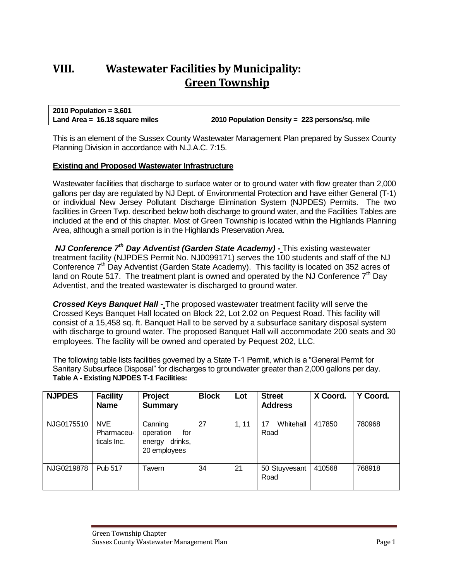# **VIII. Wastewater Facilities by Municipality: Green Township**

**2010 Population = 3,601 Land Area = 16.18 square miles 2010 Population Density = 223 persons/sq. mile**

This is an element of the Sussex County Wastewater Management Plan prepared by Sussex County Planning Division in accordance with N.J.A.C. 7:15.

#### **Existing and Proposed Wastewater Infrastructure**

Wastewater facilities that discharge to surface water or to ground water with flow greater than 2,000 gallons per day are regulated by NJ Dept. of Environmental Protection and have either General (T-1) or individual New Jersey Pollutant Discharge Elimination System (NJPDES) Permits. The two facilities in Green Twp. described below both discharge to ground water, and the Facilities Tables are included at the end of this chapter. Most of Green Township is located within the Highlands Planning Area, although a small portion is in the Highlands Preservation Area.

*NJ Conference 7th Day Adventist (Garden State Academy) -* This existing wastewater treatment facility (NJPDES Permit No. NJ0099171) serves the 100 students and staff of the NJ Conference  $7<sup>th</sup>$  Day Adventist (Garden State Academy). This facility is located on 352 acres of land on Route 517. The treatment plant is owned and operated by the NJ Conference  $7<sup>th</sup>$  Day Adventist, and the treated wastewater is discharged to ground water.

*Crossed Keys Banquet Hall -* The proposed wastewater treatment facility will serve the Crossed Keys Banquet Hall located on Block 22, Lot 2.02 on Pequest Road. This facility will consist of a 15,458 sq. ft. Banquet Hall to be served by a subsurface sanitary disposal system with discharge to ground water. The proposed Banquet Hall will accommodate 200 seats and 30 employees. The facility will be owned and operated by Pequest 202, LLC.

The following table lists facilities governed by a State T-1 Permit, which is a "General Permit for Sanitary Subsurface Disposal" for discharges to groundwater greater than 2,000 gallons per day. **Table A - Existing NJPDES T-1 Facilities:**

| <b>NJPDES</b> | <b>Facility</b><br><b>Name</b>          | Project<br><b>Summary</b>                                        | <b>Block</b> | Lot   | <b>Street</b><br><b>Address</b> | X Coord. | Y Coord. |
|---------------|-----------------------------------------|------------------------------------------------------------------|--------------|-------|---------------------------------|----------|----------|
| NJG0175510    | <b>NVE</b><br>Pharmaceu-<br>ticals Inc. | Canning<br>operation<br>for<br>drinks,<br>energy<br>20 employees | 27           | 1, 11 | Whitehall<br>17<br>Road         | 417850   | 780968   |
| NJG0219878    | <b>Pub 517</b>                          | Tavern                                                           | 34           | 21    | 50 Stuyvesant<br>Road           | 410568   | 768918   |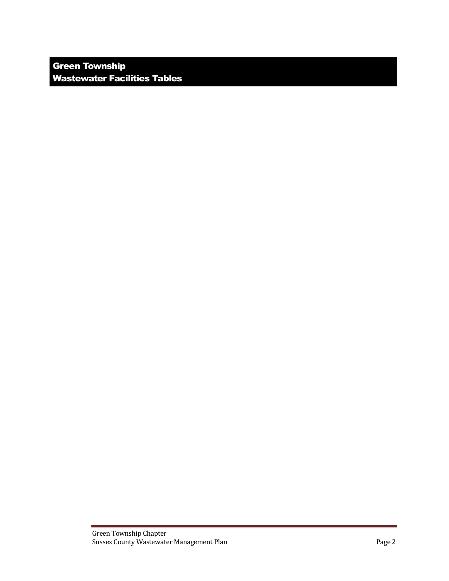Green Township Wastewater Facilities Tables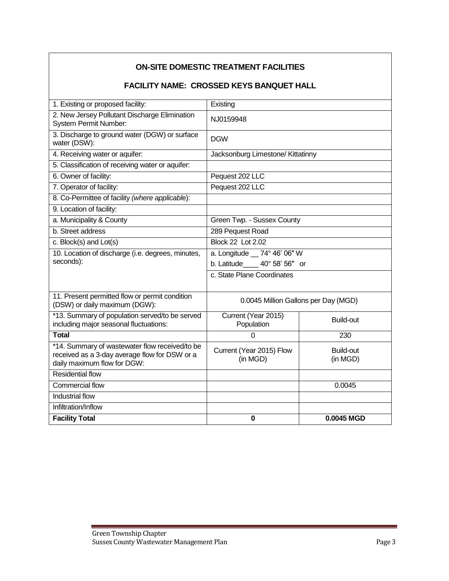| <b>FACILITY NAME: CROSSED KEYS BANQUET HALL</b>                                                                                |                                      |                       |  |  |  |  |
|--------------------------------------------------------------------------------------------------------------------------------|--------------------------------------|-----------------------|--|--|--|--|
| 1. Existing or proposed facility:                                                                                              | Existing                             |                       |  |  |  |  |
| 2. New Jersey Pollutant Discharge Elimination<br><b>System Permit Number:</b>                                                  | NJ0159948                            |                       |  |  |  |  |
| 3. Discharge to ground water (DGW) or surface<br>water (DSW):                                                                  | <b>DGW</b>                           |                       |  |  |  |  |
| 4. Receiving water or aquifer:                                                                                                 | Jacksonburg Limestone/ Kittatinny    |                       |  |  |  |  |
| 5. Classification of receiving water or aquifer:                                                                               |                                      |                       |  |  |  |  |
| 6. Owner of facility:                                                                                                          | Pequest 202 LLC                      |                       |  |  |  |  |
| 7. Operator of facility:                                                                                                       | Pequest 202 LLC                      |                       |  |  |  |  |
| 8. Co-Permittee of facility (where applicable):                                                                                |                                      |                       |  |  |  |  |
| 9. Location of facility:                                                                                                       |                                      |                       |  |  |  |  |
| a. Municipality & County                                                                                                       | Green Twp. - Sussex County           |                       |  |  |  |  |
| b. Street address                                                                                                              | 289 Pequest Road                     |                       |  |  |  |  |
| c. Block(s) and Lot(s)                                                                                                         | <b>Block 22 Lot 2.02</b>             |                       |  |  |  |  |
| 10. Location of discharge (i.e. degrees, minutes,                                                                              | a. Longitude __ 74° 46' 06" W        |                       |  |  |  |  |
| seconds):                                                                                                                      | b. Latitude_____ 40° 58' 56" or      |                       |  |  |  |  |
|                                                                                                                                | c. State Plane Coordinates           |                       |  |  |  |  |
| 11. Present permitted flow or permit condition<br>(DSW) or daily maximum (DGW):                                                | 0.0045 Million Gallons per Day (MGD) |                       |  |  |  |  |
| *13. Summary of population served/to be served<br>including major seasonal fluctuations:                                       | Current (Year 2015)<br>Population    | Build-out             |  |  |  |  |
| <b>Total</b>                                                                                                                   | $\Omega$                             | 230                   |  |  |  |  |
| *14. Summary of wastewater flow received/to be<br>received as a 3-day average flow for DSW or a<br>daily maximum flow for DGW: | Current (Year 2015) Flow<br>(in MGD) | Build-out<br>(in MGD) |  |  |  |  |
| <b>Residential flow</b>                                                                                                        |                                      |                       |  |  |  |  |
| <b>Commercial flow</b>                                                                                                         |                                      | 0.0045                |  |  |  |  |
| Industrial flow                                                                                                                |                                      |                       |  |  |  |  |
| Infiltration/Inflow                                                                                                            |                                      |                       |  |  |  |  |
| <b>Facility Total</b>                                                                                                          | $\bf{0}$                             | 0.0045 MGD            |  |  |  |  |

## **ON-SITE DOMESTIC TREATMENT FACILITIES**